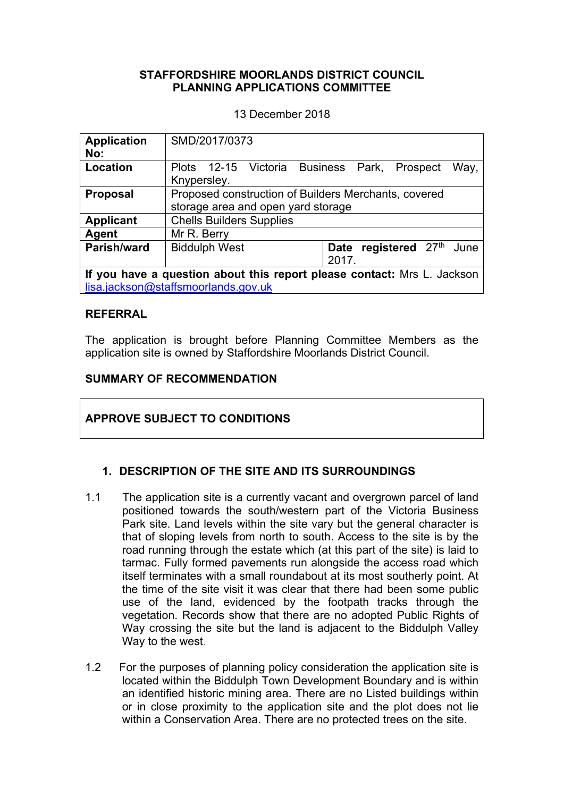#### **STAFFORDSHIRE MOORLANDS DISTRICT COUNCIL PLANNING APPLICATIONS COMMITTEE**

13 December 2018

| <b>Application</b><br>No:                                                                                      | SMD/2017/0373                                                                              |  |
|----------------------------------------------------------------------------------------------------------------|--------------------------------------------------------------------------------------------|--|
| Location                                                                                                       | Plots 12-15 Victoria Business Park,<br>Way,<br>Prospect<br>Knypersley.                     |  |
| <b>Proposal</b>                                                                                                | Proposed construction of Builders Merchants, covered<br>storage area and open yard storage |  |
| <b>Applicant</b>                                                                                               | <b>Chells Builders Supplies</b>                                                            |  |
| Agent                                                                                                          | Mr R. Berry                                                                                |  |
| Parish/ward                                                                                                    | registered 27th<br><b>Biddulph West</b><br>June<br><b>Date</b><br>2017.                    |  |
| If you have a question about this report please contact: Mrs L. Jackson<br>lisa.jackson@staffsmoorlands.gov.uk |                                                                                            |  |

#### **REFERRAL**

The application is brought before Planning Committee Members as the application site is owned by Staffordshire Moorlands District Council.

## **SUMMARY OF RECOMMENDATION**

# **APPROVE SUBJECT TO CONDITIONS**

#### **1. DESCRIPTION OF THE SITE AND ITS SURROUNDINGS**

- 1.1 The application site is a currently vacant and overgrown parcel of land positioned towards the south/western part of the Victoria Business Park site. Land levels within the site vary but the general character is that of sloping levels from north to south. Access to the site is by the road running through the estate which (at this part of the site) is laid to tarmac. Fully formed pavements run alongside the access road which itself terminates with a small roundabout at its most southerly point. At the time of the site visit it was clear that there had been some public use of the land, evidenced by the footpath tracks through the vegetation. Records show that there are no adopted Public Rights of Way crossing the site but the land is adjacent to the Biddulph Valley Way to the west.
- 1.2 For the purposes of planning policy consideration the application site is located within the Biddulph Town Development Boundary and is within an identified historic mining area. There are no Listed buildings within or in close proximity to the application site and the plot does not lie within a Conservation Area. There are no protected trees on the site.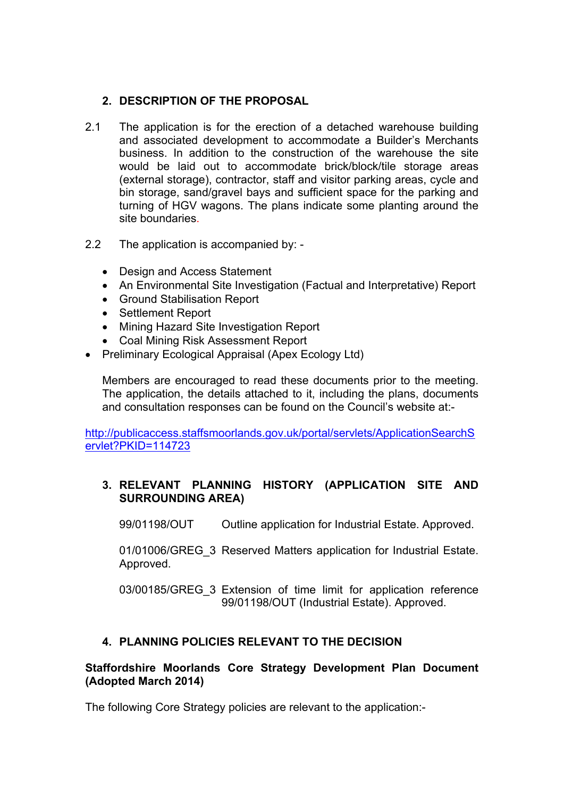## **2. DESCRIPTION OF THE PROPOSAL**

- 2.1 The application is for the erection of a detached warehouse building and associated development to accommodate a Builder's Merchants business. In addition to the construction of the warehouse the site would be laid out to accommodate brick/block/tile storage areas (external storage), contractor, staff and visitor parking areas, cycle and bin storage, sand/gravel bays and sufficient space for the parking and turning of HGV wagons. The plans indicate some planting around the site boundaries.
- 2.2 The application is accompanied by:
	- Design and Access Statement
	- An Environmental Site Investigation (Factual and Interpretative) Report
	- Ground Stabilisation Report
	- Settlement Report
	- Mining Hazard Site Investigation Report
	- Coal Mining Risk Assessment Report
- Preliminary Ecological Appraisal (Apex Ecology Ltd)

Members are encouraged to read these documents prior to the meeting. The application, the details attached to it, including the plans, documents and consultation responses can be found on the Council's website at:-

[http://publicaccess.staffsmoorlands.gov.uk/portal/servlets/ApplicationSearchS](http://publicaccess.staffsmoorlands.gov.uk/portal/servlets/ApplicationSearchServlet?PKID=114723) [ervlet?PKID=114723](http://publicaccess.staffsmoorlands.gov.uk/portal/servlets/ApplicationSearchServlet?PKID=114723)

# **3. RELEVANT PLANNING HISTORY (APPLICATION SITE AND SURROUNDING AREA)**

99/01198/OUT Outline application for Industrial Estate. Approved.

01/01006/GREG 3 Reserved Matters application for Industrial Estate. Approved.

03/00185/GREG\_3 Extension of time limit for application reference 99/01198/OUT (Industrial Estate). Approved.

# **4. PLANNING POLICIES RELEVANT TO THE DECISION**

#### **Staffordshire Moorlands Core Strategy Development Plan Document (Adopted March 2014)**

The following Core Strategy policies are relevant to the application:-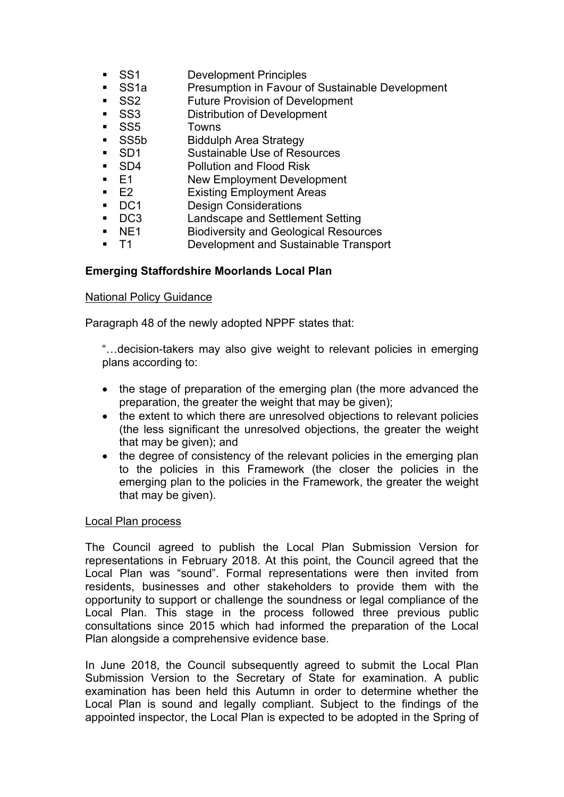- SS1 Development Principles
- SS1a Presumption in Favour of Sustainable Development
- SS2 Future Provision of Development
- **SS3** Distribution of Development
- SS5 Towns
- SS5b Biddulph Area Strategy
- SD1 Sustainable Use of Resources
- SD4 Pollution and Flood Risk
- E1 New Employment Development
- E2 Existing Employment Areas
- DC1 Design Considerations
- DC3 Landscape and Settlement Setting
- NE1 Biodiversity and Geological Resources
- T1 Development and Sustainable Transport

#### **Emerging Staffordshire Moorlands Local Plan**

#### National Policy Guidance

Paragraph 48 of the newly adopted NPPF states that:

"…decision-takers may also give weight to relevant policies in emerging plans according to:

- the stage of preparation of the emerging plan (the more advanced the preparation, the greater the weight that may be given);
- the extent to which there are unresolved objections to relevant policies (the less significant the unresolved objections, the greater the weight that may be given); and
- the degree of consistency of the relevant policies in the emerging plan to the policies in this Framework (the closer the policies in the emerging plan to the policies in the Framework, the greater the weight that may be given).

#### Local Plan process

The Council agreed to publish the Local Plan Submission Version for representations in February 2018. At this point, the Council agreed that the Local Plan was "sound". Formal representations were then invited from residents, businesses and other stakeholders to provide them with the opportunity to support or challenge the soundness or legal compliance of the Local Plan. This stage in the process followed three previous public consultations since 2015 which had informed the preparation of the Local Plan alongside a comprehensive evidence base.

In June 2018, the Council subsequently agreed to submit the Local Plan Submission Version to the Secretary of State for examination. A public examination has been held this Autumn in order to determine whether the Local Plan is sound and legally compliant. Subject to the findings of the appointed inspector, the Local Plan is expected to be adopted in the Spring of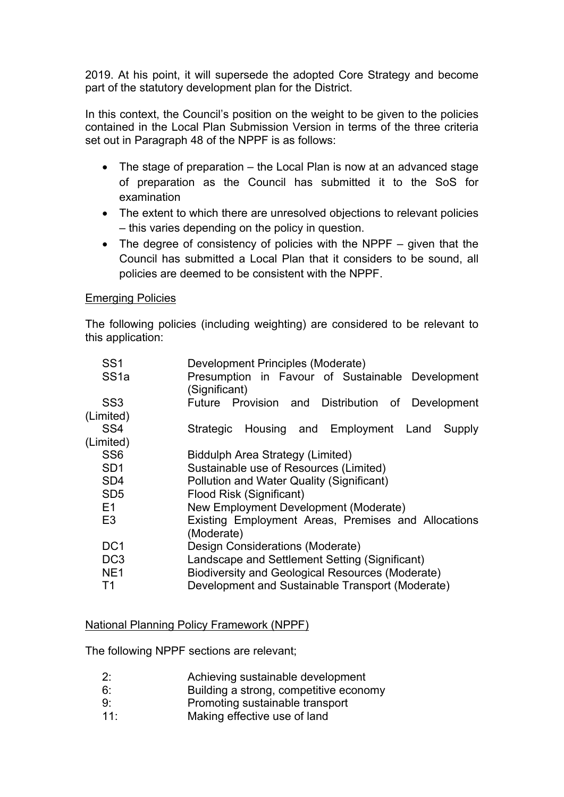2019. At his point, it will supersede the adopted Core Strategy and become part of the statutory development plan for the District.

In this context, the Council's position on the weight to be given to the policies contained in the Local Plan Submission Version in terms of the three criteria set out in Paragraph 48 of the NPPF is as follows:

- The stage of preparation the Local Plan is now at an advanced stage of preparation as the Council has submitted it to the SoS for examination
- The extent to which there are unresolved objections to relevant policies – this varies depending on the policy in question.
- The degree of consistency of policies with the NPPF given that the Council has submitted a Local Plan that it considers to be sound, all policies are deemed to be consistent with the NPPF.

#### Emerging Policies

The following policies (including weighting) are considered to be relevant to this application:

| SS <sub>1</sub>  | Development Principles (Moderate)                                 |
|------------------|-------------------------------------------------------------------|
| SS <sub>1a</sub> | Presumption in Favour of Sustainable Development<br>(Significant) |
| SS <sub>3</sub>  | Future Provision and Distribution of Development                  |
| (Limited)        |                                                                   |
| SS <sub>4</sub>  | Strategic Housing and Employment Land<br><b>Supply</b>            |
| (Limited)        |                                                                   |
| SS <sub>6</sub>  | Biddulph Area Strategy (Limited)                                  |
| SD <sub>1</sub>  | Sustainable use of Resources (Limited)                            |
| SD <sub>4</sub>  | Pollution and Water Quality (Significant)                         |
| SD <sub>5</sub>  | Flood Risk (Significant)                                          |
| E1               | New Employment Development (Moderate)                             |
| E <sub>3</sub>   | Existing Employment Areas, Premises and Allocations<br>(Moderate) |
| DC <sub>1</sub>  | Design Considerations (Moderate)                                  |
| DC <sub>3</sub>  | Landscape and Settlement Setting (Significant)                    |
| NE <sub>1</sub>  | Biodiversity and Geological Resources (Moderate)                  |
| T1               | Development and Sustainable Transport (Moderate)                  |

#### National Planning Policy Framework (NPPF)

The following NPPF sections are relevant;

- 2: Achieving sustainable development
- 6: Building a strong, competitive economy
- 9: Promoting sustainable transport
- 11: Making effective use of land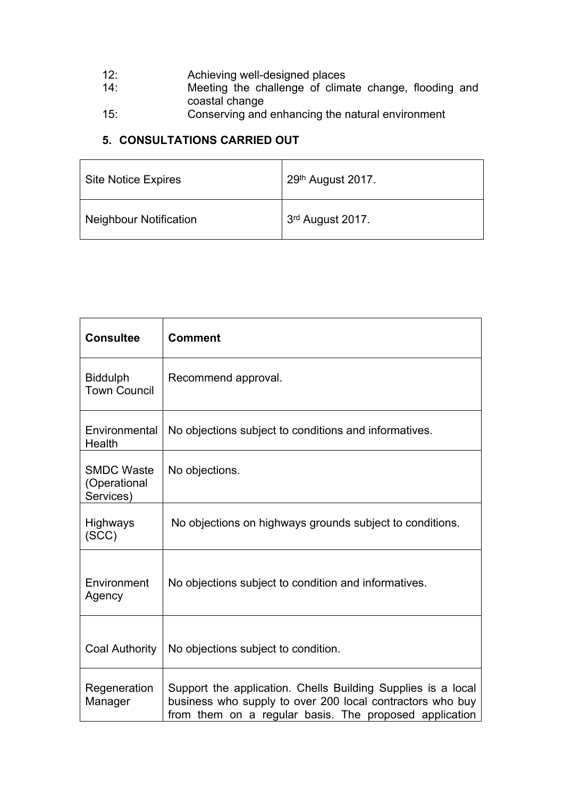- 12: Achieving well-designed places
- 14: Meeting the challenge of climate change, flooding and coastal change
- 15: Conserving and enhancing the natural environment

# **5. CONSULTATIONS CARRIED OUT**

| <b>Site Notice Expires</b>    | $29th$ August 2017. |
|-------------------------------|---------------------|
| <b>Neighbour Notification</b> | 3rd August 2017.    |

| <b>Consultee</b>                               | <b>Comment</b>                                                                                                                                                                      |
|------------------------------------------------|-------------------------------------------------------------------------------------------------------------------------------------------------------------------------------------|
| <b>Biddulph</b><br><b>Town Council</b>         | Recommend approval.                                                                                                                                                                 |
| Environmental<br>Health                        | No objections subject to conditions and informatives.                                                                                                                               |
| <b>SMDC Waste</b><br>(Operational<br>Services) | No objections.                                                                                                                                                                      |
| Highways<br>(SCC)                              | No objections on highways grounds subject to conditions.                                                                                                                            |
| Environment<br>Agency                          | No objections subject to condition and informatives.                                                                                                                                |
| <b>Coal Authority</b>                          | No objections subject to condition.                                                                                                                                                 |
| Regeneration<br>Manager                        | Support the application. Chells Building Supplies is a local<br>business who supply to over 200 local contractors who buy<br>from them on a regular basis. The proposed application |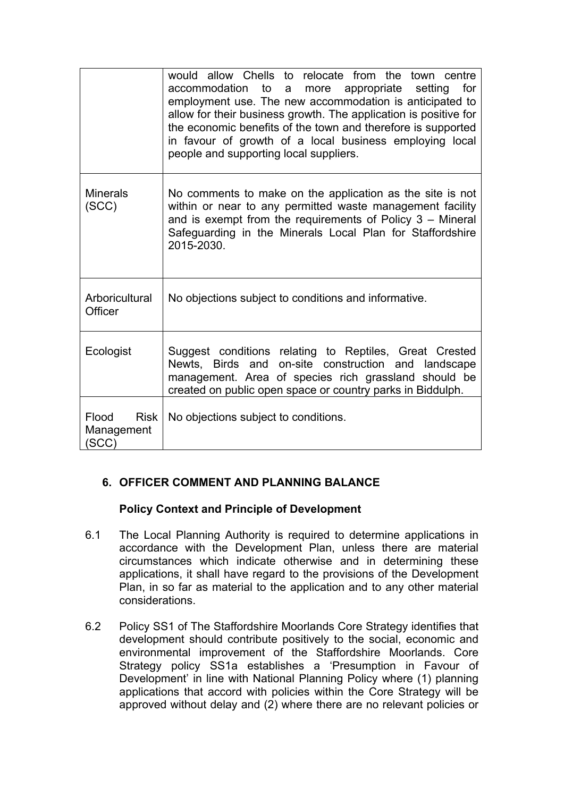|                                             | would allow Chells to relocate from<br>the<br>town centre<br>accommodation<br>to<br>appropriate<br>for<br>setting<br>more<br>a<br>employment use. The new accommodation is anticipated to<br>allow for their business growth. The application is positive for<br>the economic benefits of the town and therefore is supported<br>in favour of growth of a local business employing local<br>people and supporting local suppliers. |
|---------------------------------------------|------------------------------------------------------------------------------------------------------------------------------------------------------------------------------------------------------------------------------------------------------------------------------------------------------------------------------------------------------------------------------------------------------------------------------------|
| <b>Minerals</b><br>(SCC)                    | No comments to make on the application as the site is not<br>within or near to any permitted waste management facility<br>and is exempt from the requirements of Policy $3 -$ Mineral<br>Safeguarding in the Minerals Local Plan for Staffordshire<br>2015-2030.                                                                                                                                                                   |
| Arboricultural<br>Officer                   | No objections subject to conditions and informative.                                                                                                                                                                                                                                                                                                                                                                               |
| Ecologist                                   | Suggest conditions relating to Reptiles, Great Crested<br>Newts, Birds and on-site construction and landscape<br>management. Area of species rich grassland should be<br>created on public open space or country parks in Biddulph.                                                                                                                                                                                                |
| Flood<br><b>Risk</b><br>Management<br>(SCC) | No objections subject to conditions.                                                                                                                                                                                                                                                                                                                                                                                               |

# **6. OFFICER COMMENT AND PLANNING BALANCE**

# **Policy Context and Principle of Development**

- 6.1 The Local Planning Authority is required to determine applications in accordance with the Development Plan, unless there are material circumstances which indicate otherwise and in determining these applications, it shall have regard to the provisions of the Development Plan, in so far as material to the application and to any other material considerations.
- 6.2 Policy SS1 of The Staffordshire Moorlands Core Strategy identifies that development should contribute positively to the social, economic and environmental improvement of the Staffordshire Moorlands. Core Strategy policy SS1a establishes a 'Presumption in Favour of Development' in line with National Planning Policy where (1) planning applications that accord with policies within the Core Strategy will be approved without delay and (2) where there are no relevant policies or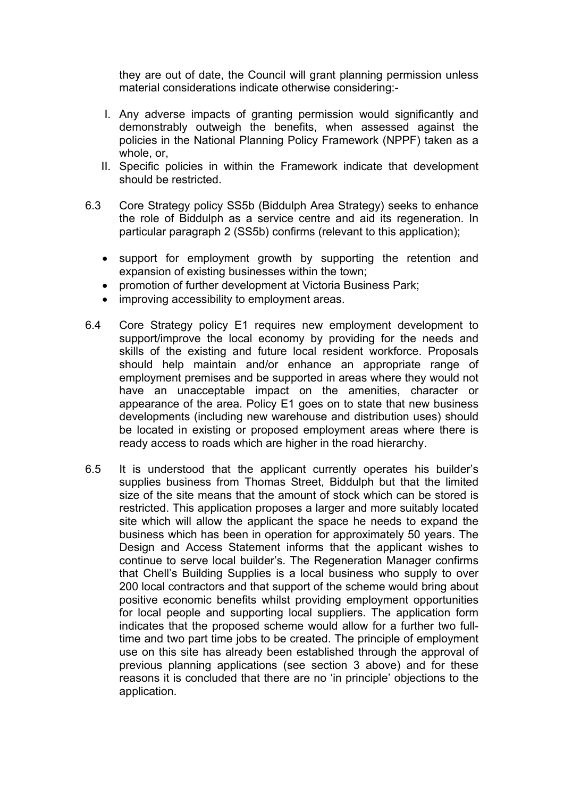they are out of date, the Council will grant planning permission unless material considerations indicate otherwise considering:-

- I. Any adverse impacts of granting permission would significantly and demonstrably outweigh the benefits, when assessed against the policies in the National Planning Policy Framework (NPPF) taken as a whole, or,
- II. Specific policies in within the Framework indicate that development should be restricted.
- 6.3 Core Strategy policy SS5b (Biddulph Area Strategy) seeks to enhance the role of Biddulph as a service centre and aid its regeneration. In particular paragraph 2 (SS5b) confirms (relevant to this application);
	- support for employment growth by supporting the retention and expansion of existing businesses within the town;
	- promotion of further development at Victoria Business Park;
	- improving accessibility to employment areas.
- 6.4 Core Strategy policy E1 requires new employment development to support/improve the local economy by providing for the needs and skills of the existing and future local resident workforce. Proposals should help maintain and/or enhance an appropriate range of employment premises and be supported in areas where they would not have an unacceptable impact on the amenities, character or appearance of the area. Policy E1 goes on to state that new business developments (including new warehouse and distribution uses) should be located in existing or proposed employment areas where there is ready access to roads which are higher in the road hierarchy.
- 6.5 It is understood that the applicant currently operates his builder's supplies business from Thomas Street, Biddulph but that the limited size of the site means that the amount of stock which can be stored is restricted. This application proposes a larger and more suitably located site which will allow the applicant the space he needs to expand the business which has been in operation for approximately 50 years. The Design and Access Statement informs that the applicant wishes to continue to serve local builder's. The Regeneration Manager confirms that Chell's Building Supplies is a local business who supply to over 200 local contractors and that support of the scheme would bring about positive economic benefits whilst providing employment opportunities for local people and supporting local suppliers. The application form indicates that the proposed scheme would allow for a further two fulltime and two part time jobs to be created. The principle of employment use on this site has already been established through the approval of previous planning applications (see section 3 above) and for these reasons it is concluded that there are no 'in principle' objections to the application.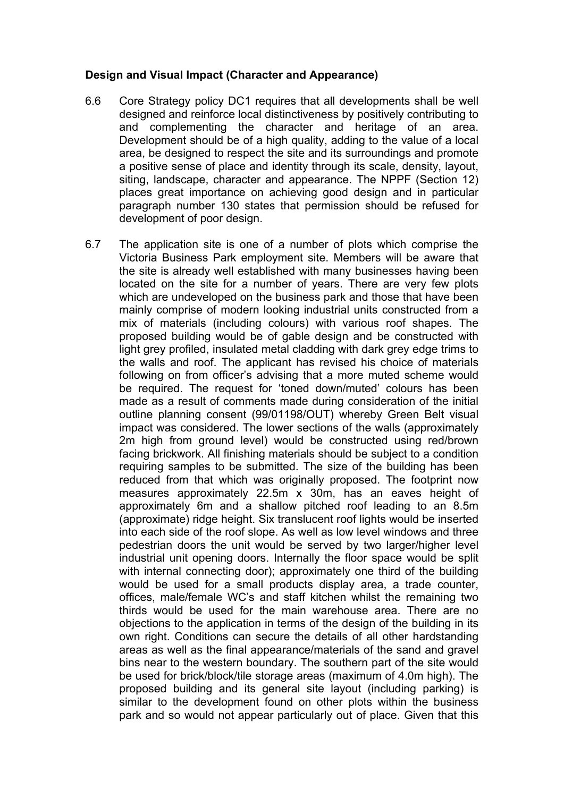#### **Design and Visual Impact (Character and Appearance)**

- 6.6 Core Strategy policy DC1 requires that all developments shall be well designed and reinforce local distinctiveness by positively contributing to and complementing the character and heritage of an area. Development should be of a high quality, adding to the value of a local area, be designed to respect the site and its surroundings and promote a positive sense of place and identity through its scale, density, layout, siting, landscape, character and appearance. The NPPF (Section 12) places great importance on achieving good design and in particular paragraph number 130 states that permission should be refused for development of poor design.
- 6.7 The application site is one of a number of plots which comprise the Victoria Business Park employment site. Members will be aware that the site is already well established with many businesses having been located on the site for a number of years. There are very few plots which are undeveloped on the business park and those that have been mainly comprise of modern looking industrial units constructed from a mix of materials (including colours) with various roof shapes. The proposed building would be of gable design and be constructed with light grey profiled, insulated metal cladding with dark grey edge trims to the walls and roof. The applicant has revised his choice of materials following on from officer's advising that a more muted scheme would be required. The request for 'toned down/muted' colours has been made as a result of comments made during consideration of the initial outline planning consent (99/01198/OUT) whereby Green Belt visual impact was considered. The lower sections of the walls (approximately 2m high from ground level) would be constructed using red/brown facing brickwork. All finishing materials should be subject to a condition requiring samples to be submitted. The size of the building has been reduced from that which was originally proposed. The footprint now measures approximately 22.5m x 30m, has an eaves height of approximately 6m and a shallow pitched roof leading to an 8.5m (approximate) ridge height. Six translucent roof lights would be inserted into each side of the roof slope. As well as low level windows and three pedestrian doors the unit would be served by two larger/higher level industrial unit opening doors. Internally the floor space would be split with internal connecting door); approximately one third of the building would be used for a small products display area, a trade counter, offices, male/female WC's and staff kitchen whilst the remaining two thirds would be used for the main warehouse area. There are no objections to the application in terms of the design of the building in its own right. Conditions can secure the details of all other hardstanding areas as well as the final appearance/materials of the sand and gravel bins near to the western boundary. The southern part of the site would be used for brick/block/tile storage areas (maximum of 4.0m high). The proposed building and its general site layout (including parking) is similar to the development found on other plots within the business park and so would not appear particularly out of place. Given that this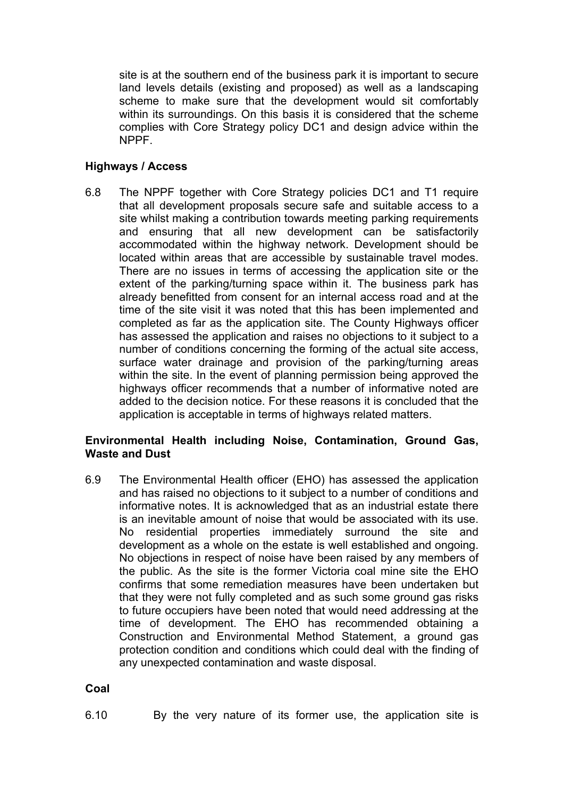site is at the southern end of the business park it is important to secure land levels details (existing and proposed) as well as a landscaping scheme to make sure that the development would sit comfortably within its surroundings. On this basis it is considered that the scheme complies with Core Strategy policy DC1 and design advice within the NPPF.

#### **Highways / Access**

6.8 The NPPF together with Core Strategy policies DC1 and T1 require that all development proposals secure safe and suitable access to a site whilst making a contribution towards meeting parking requirements and ensuring that all new development can be satisfactorily accommodated within the highway network. Development should be located within areas that are accessible by sustainable travel modes. There are no issues in terms of accessing the application site or the extent of the parking/turning space within it. The business park has already benefitted from consent for an internal access road and at the time of the site visit it was noted that this has been implemented and completed as far as the application site. The County Highways officer has assessed the application and raises no objections to it subject to a number of conditions concerning the forming of the actual site access, surface water drainage and provision of the parking/turning areas within the site. In the event of planning permission being approved the highways officer recommends that a number of informative noted are added to the decision notice. For these reasons it is concluded that the application is acceptable in terms of highways related matters.

## **Environmental Health including Noise, Contamination, Ground Gas, Waste and Dust**

6.9 The Environmental Health officer (EHO) has assessed the application and has raised no objections to it subject to a number of conditions and informative notes. It is acknowledged that as an industrial estate there is an inevitable amount of noise that would be associated with its use. No residential properties immediately surround the site and development as a whole on the estate is well established and ongoing. No objections in respect of noise have been raised by any members of the public. As the site is the former Victoria coal mine site the EHO confirms that some remediation measures have been undertaken but that they were not fully completed and as such some ground gas risks to future occupiers have been noted that would need addressing at the time of development. The EHO has recommended obtaining a Construction and Environmental Method Statement, a ground gas protection condition and conditions which could deal with the finding of any unexpected contamination and waste disposal.

#### **Coal**

6.10 By the very nature of its former use, the application site is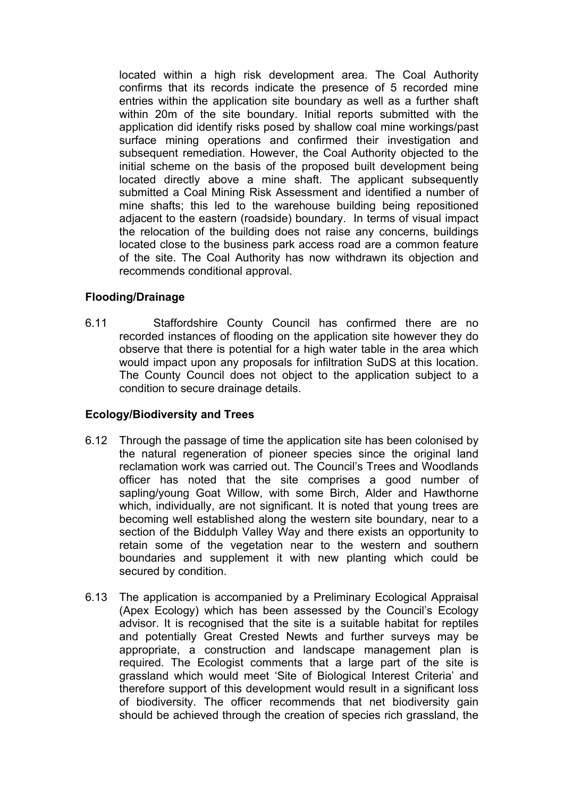located within a high risk development area. The Coal Authority confirms that its records indicate the presence of 5 recorded mine entries within the application site boundary as well as a further shaft within 20m of the site boundary. Initial reports submitted with the application did identify risks posed by shallow coal mine workings/past surface mining operations and confirmed their investigation and subsequent remediation. However, the Coal Authority objected to the initial scheme on the basis of the proposed built development being located directly above a mine shaft. The applicant subsequently submitted a Coal Mining Risk Assessment and identified a number of mine shafts; this led to the warehouse building being repositioned adjacent to the eastern (roadside) boundary. In terms of visual impact the relocation of the building does not raise any concerns, buildings located close to the business park access road are a common feature of the site. The Coal Authority has now withdrawn its objection and recommends conditional approval.

## **Flooding/Drainage**

6.11 Staffordshire County Council has confirmed there are no recorded instances of flooding on the application site however they do observe that there is potential for a high water table in the area which would impact upon any proposals for infiltration SuDS at this location. The County Council does not object to the application subject to a condition to secure drainage details.

#### **Ecology/Biodiversity and Trees**

- 6.12 Through the passage of time the application site has been colonised by the natural regeneration of pioneer species since the original land reclamation work was carried out. The Council's Trees and Woodlands officer has noted that the site comprises a good number of sapling/young Goat Willow, with some Birch, Alder and Hawthorne which, individually, are not significant. It is noted that young trees are becoming well established along the western site boundary, near to a section of the Biddulph Valley Way and there exists an opportunity to retain some of the vegetation near to the western and southern boundaries and supplement it with new planting which could be secured by condition.
- 6.13 The application is accompanied by a Preliminary Ecological Appraisal (Apex Ecology) which has been assessed by the Council's Ecology advisor. It is recognised that the site is a suitable habitat for reptiles and potentially Great Crested Newts and further surveys may be appropriate, a construction and landscape management plan is required. The Ecologist comments that a large part of the site is grassland which would meet 'Site of Biological Interest Criteria' and therefore support of this development would result in a significant loss of biodiversity. The officer recommends that net biodiversity gain should be achieved through the creation of species rich grassland, the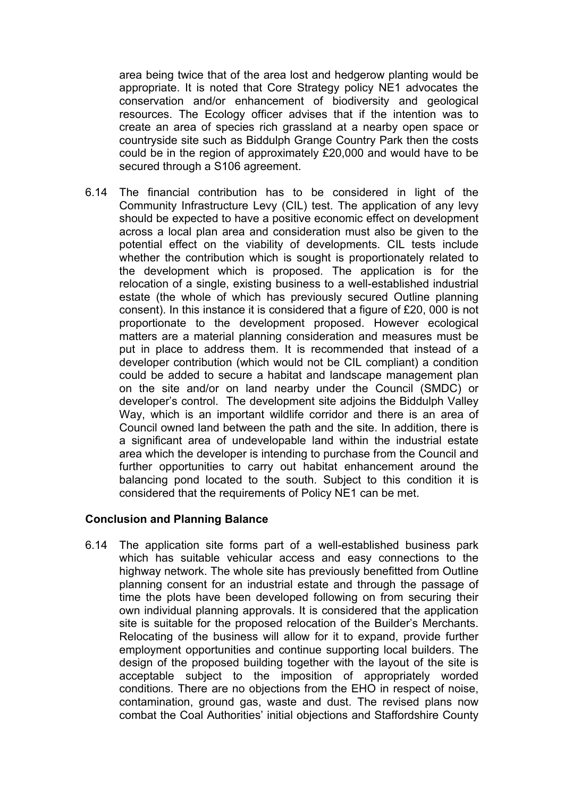area being twice that of the area lost and hedgerow planting would be appropriate. It is noted that Core Strategy policy NE1 advocates the conservation and/or enhancement of biodiversity and geological resources. The Ecology officer advises that if the intention was to create an area of species rich grassland at a nearby open space or countryside site such as Biddulph Grange Country Park then the costs could be in the region of approximately £20,000 and would have to be secured through a S106 agreement.

6.14 The financial contribution has to be considered in light of the Community Infrastructure Levy (CIL) test. The application of any levy should be expected to have a positive economic effect on development across a local plan area and consideration must also be given to the potential effect on the viability of developments. CIL tests include whether the contribution which is sought is proportionately related to the development which is proposed. The application is for the relocation of a single, existing business to a well-established industrial estate (the whole of which has previously secured Outline planning consent). In this instance it is considered that a figure of £20, 000 is not proportionate to the development proposed. However ecological matters are a material planning consideration and measures must be put in place to address them. It is recommended that instead of a developer contribution (which would not be CIL compliant) a condition could be added to secure a habitat and landscape management plan on the site and/or on land nearby under the Council (SMDC) or developer's control. The development site adjoins the Biddulph Valley Way, which is an important wildlife corridor and there is an area of Council owned land between the path and the site. In addition, there is a significant area of undevelopable land within the industrial estate area which the developer is intending to purchase from the Council and further opportunities to carry out habitat enhancement around the balancing pond located to the south. Subject to this condition it is considered that the requirements of Policy NE1 can be met.

#### **Conclusion and Planning Balance**

6.14 The application site forms part of a well-established business park which has suitable vehicular access and easy connections to the highway network. The whole site has previously benefitted from Outline planning consent for an industrial estate and through the passage of time the plots have been developed following on from securing their own individual planning approvals. It is considered that the application site is suitable for the proposed relocation of the Builder's Merchants. Relocating of the business will allow for it to expand, provide further employment opportunities and continue supporting local builders. The design of the proposed building together with the layout of the site is acceptable subject to the imposition of appropriately worded conditions. There are no objections from the EHO in respect of noise, contamination, ground gas, waste and dust. The revised plans now combat the Coal Authorities' initial objections and Staffordshire County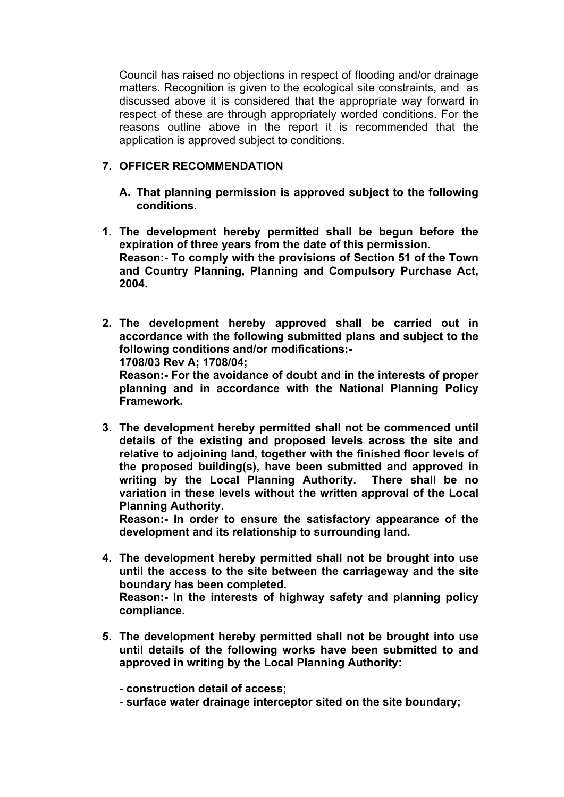Council has raised no objections in respect of flooding and/or drainage matters. Recognition is given to the ecological site constraints, and as discussed above it is considered that the appropriate way forward in respect of these are through appropriately worded conditions. For the reasons outline above in the report it is recommended that the application is approved subject to conditions.

## **7. OFFICER RECOMMENDATION**

- **A. That planning permission is approved subject to the following conditions.**
- **1. The development hereby permitted shall be begun before the expiration of three years from the date of this permission. Reason:- To comply with the provisions of Section 51 of the Town and Country Planning, Planning and Compulsory Purchase Act, 2004.**
- **2. The development hereby approved shall be carried out in accordance with the following submitted plans and subject to the following conditions and/or modifications:- 1708/03 Rev A; 1708/04; Reason:- For the avoidance of doubt and in the interests of proper planning and in accordance with the National Planning Policy Framework.**
- **3. The development hereby permitted shall not be commenced until details of the existing and proposed levels across the site and relative to adjoining land, together with the finished floor levels of the proposed building(s), have been submitted and approved in writing by the Local Planning Authority. There shall be no variation in these levels without the written approval of the Local Planning Authority.**

**Reason:- In order to ensure the satisfactory appearance of the development and its relationship to surrounding land.**

- **4. The development hereby permitted shall not be brought into use until the access to the site between the carriageway and the site boundary has been completed. Reason:- In the interests of highway safety and planning policy compliance.**
- **5. The development hereby permitted shall not be brought into use until details of the following works have been submitted to and approved in writing by the Local Planning Authority:**
	- **- construction detail of access;**
	- **- surface water drainage interceptor sited on the site boundary;**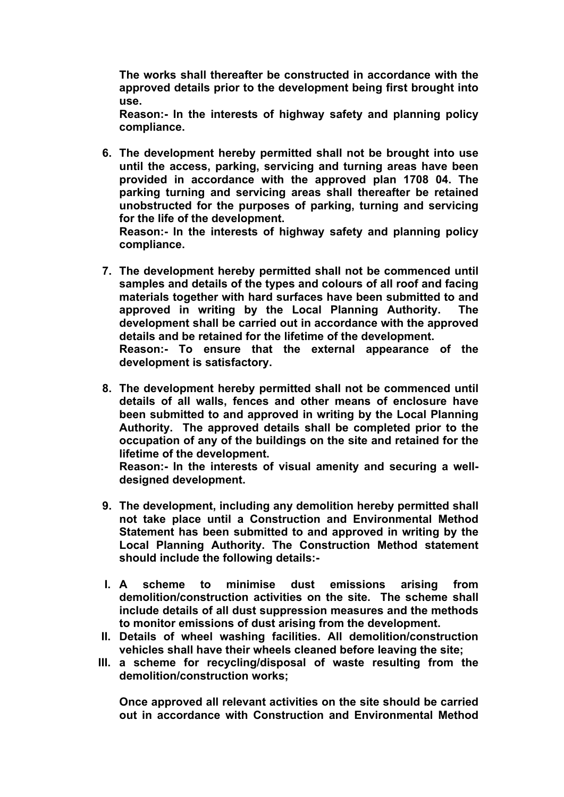**The works shall thereafter be constructed in accordance with the approved details prior to the development being first brought into use.**

**Reason:- In the interests of highway safety and planning policy compliance.**

**6. The development hereby permitted shall not be brought into use until the access, parking, servicing and turning areas have been provided in accordance with the approved plan 1708 04. The parking turning and servicing areas shall thereafter be retained unobstructed for the purposes of parking, turning and servicing for the life of the development.**

**Reason:- In the interests of highway safety and planning policy compliance.**

- **7. The development hereby permitted shall not be commenced until samples and details of the types and colours of all roof and facing materials together with hard surfaces have been submitted to and approved in writing by the Local Planning Authority. The development shall be carried out in accordance with the approved details and be retained for the lifetime of the development. Reason:- To ensure that the external appearance of the development is satisfactory.**
- **8. The development hereby permitted shall not be commenced until details of all walls, fences and other means of enclosure have been submitted to and approved in writing by the Local Planning Authority. The approved details shall be completed prior to the occupation of any of the buildings on the site and retained for the lifetime of the development.**

**Reason:- In the interests of visual amenity and securing a welldesigned development.**

- **9. The development, including any demolition hereby permitted shall not take place until a Construction and Environmental Method Statement has been submitted to and approved in writing by the Local Planning Authority. The Construction Method statement should include the following details:-**
- **I. A scheme to minimise dust emissions arising from demolition/construction activities on the site. The scheme shall include details of all dust suppression measures and the methods to monitor emissions of dust arising from the development.**
- **II. Details of wheel washing facilities. All demolition/construction vehicles shall have their wheels cleaned before leaving the site;**
- **III. a scheme for recycling/disposal of waste resulting from the demolition/construction works;**

**Once approved all relevant activities on the site should be carried out in accordance with Construction and Environmental Method**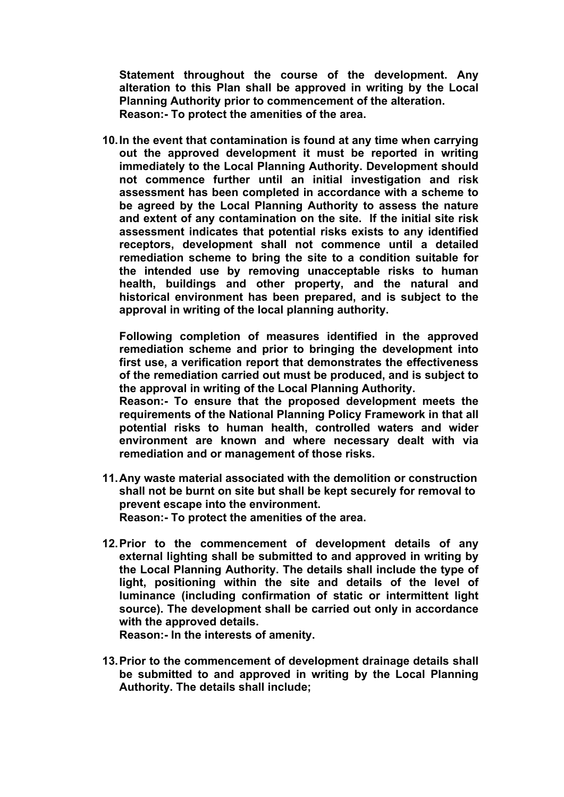**Statement throughout the course of the development. Any alteration to this Plan shall be approved in writing by the Local Planning Authority prior to commencement of the alteration. Reason:- To protect the amenities of the area.**

**10.In the event that contamination is found at any time when carrying out the approved development it must be reported in writing immediately to the Local Planning Authority. Development should not commence further until an initial investigation and risk assessment has been completed in accordance with a scheme to be agreed by the Local Planning Authority to assess the nature and extent of any contamination on the site. If the initial site risk assessment indicates that potential risks exists to any identified receptors, development shall not commence until a detailed remediation scheme to bring the site to a condition suitable for the intended use by removing unacceptable risks to human health, buildings and other property, and the natural and historical environment has been prepared, and is subject to the approval in writing of the local planning authority.** 

**Following completion of measures identified in the approved remediation scheme and prior to bringing the development into first use, a verification report that demonstrates the effectiveness of the remediation carried out must be produced, and is subject to the approval in writing of the Local Planning Authority.**

**Reason:- To ensure that the proposed development meets the requirements of the National Planning Policy Framework in that all potential risks to human health, controlled waters and wider environment are known and where necessary dealt with via remediation and or management of those risks.**

- **11.Any waste material associated with the demolition or construction shall not be burnt on site but shall be kept securely for removal to prevent escape into the environment. Reason:- To protect the amenities of the area.**
- **12.Prior to the commencement of development details of any external lighting shall be submitted to and approved in writing by the Local Planning Authority. The details shall include the type of light, positioning within the site and details of the level of luminance (including confirmation of static or intermittent light source). The development shall be carried out only in accordance with the approved details.**

**Reason:- In the interests of amenity.**

**13.Prior to the commencement of development drainage details shall be submitted to and approved in writing by the Local Planning Authority. The details shall include;**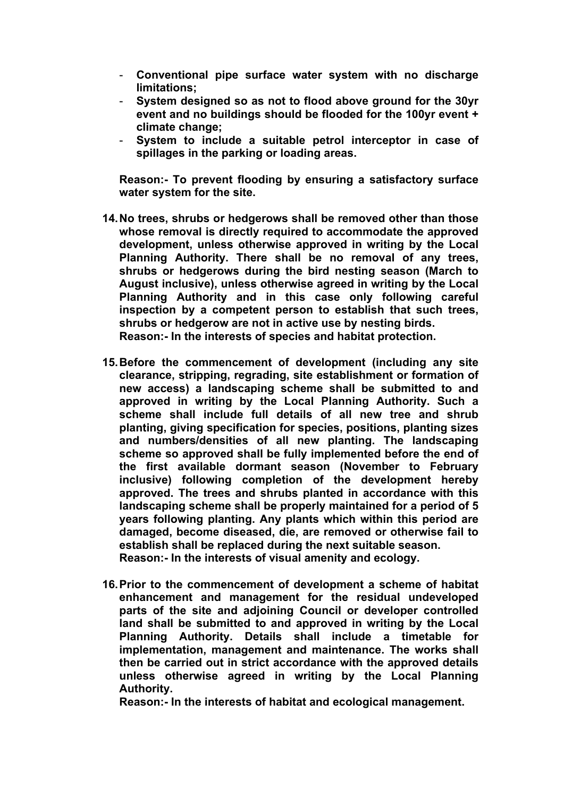- **Conventional pipe surface water system with no discharge limitations;**
- **System designed so as not to flood above ground for the 30yr event and no buildings should be flooded for the 100yr event + climate change;**
- **System to include a suitable petrol interceptor in case of spillages in the parking or loading areas.**

**Reason:- To prevent flooding by ensuring a satisfactory surface water system for the site.**

- **14.No trees, shrubs or hedgerows shall be removed other than those whose removal is directly required to accommodate the approved development, unless otherwise approved in writing by the Local Planning Authority. There shall be no removal of any trees, shrubs or hedgerows during the bird nesting season (March to August inclusive), unless otherwise agreed in writing by the Local Planning Authority and in this case only following careful inspection by a competent person to establish that such trees, shrubs or hedgerow are not in active use by nesting birds. Reason:- In the interests of species and habitat protection.**
- **15.Before the commencement of development (including any site clearance, stripping, regrading, site establishment or formation of new access) a landscaping scheme shall be submitted to and approved in writing by the Local Planning Authority. Such a scheme shall include full details of all new tree and shrub planting, giving specification for species, positions, planting sizes and numbers/densities of all new planting. The landscaping scheme so approved shall be fully implemented before the end of the first available dormant season (November to February inclusive) following completion of the development hereby approved. The trees and shrubs planted in accordance with this landscaping scheme shall be properly maintained for a period of 5 years following planting. Any plants which within this period are damaged, become diseased, die, are removed or otherwise fail to establish shall be replaced during the next suitable season. Reason:- In the interests of visual amenity and ecology.**
- **16.Prior to the commencement of development a scheme of habitat enhancement and management for the residual undeveloped parts of the site and adjoining Council or developer controlled land shall be submitted to and approved in writing by the Local Planning Authority. Details shall include a timetable for implementation, management and maintenance. The works shall then be carried out in strict accordance with the approved details unless otherwise agreed in writing by the Local Planning Authority.**

**Reason:- In the interests of habitat and ecological management.**